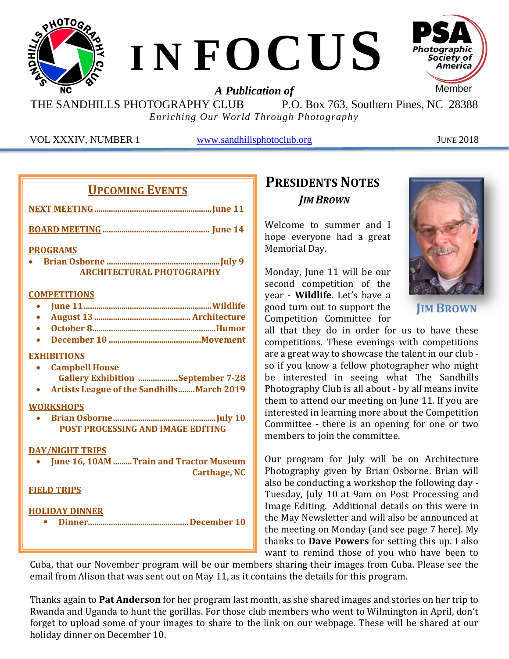

THE SANDHILLS PHOTOGRAPHY CLUB P.O. Box 763, Southern Pines, NC 28388 *Enriching Our World Through Photography*

VOL XXXIV, NUMBER 1 [www.sandhillsphotoclub.org](http://www.sandhillsphotoclub.org/) JUNE 2018

#### **UPCOMING EVENTS**

| <b>PROGRAMS</b>                                               |
|---------------------------------------------------------------|
| <b>ARCHITECTURAL PHOTOGRAPHY</b>                              |
| <b>COMPETITIONS</b>                                           |
|                                                               |
|                                                               |
|                                                               |
|                                                               |
| <b>EXHIBITIONS</b>                                            |
| <b>Campbell House</b>                                         |
| <b>Gallery Exhibition September 7-28</b>                      |
| <b>Artists League of the Sandhills March 2019</b>             |
| <b>WORKSHOPS</b>                                              |
|                                                               |
| <b>POST PROCESSING AND IMAGE EDITING</b>                      |
| <b>DAY/NIGHT TRIPS</b>                                        |
| June 16, 10AM Train and Tractor Museum<br><b>Carthage, NC</b> |
| <b>FIELD TRIPS</b>                                            |
| <b>HOLIDAY DINNER</b>                                         |

## **PRESIDENTS NOTES** *JIM BROWN*

Welcome to summer and I hope everyone had a great Memorial Day.

Monday, June 11 will be our second competition of the year - **Wildlife**. Let's have a good turn out to support the Competition Committee for



**JIM BROWN**

all that they do in order for us to have these competitions. These evenings with competitions are a great way to showcase the talent in our club so if you know a fellow photographer who might be interested in seeing what The Sandhills Photography Club is all about - by all means invite them to attend our meeting on June 11. If you are interested in learning more about the Competition Committee - there is an opening for one or two members to join the committee.

Our program for July will be on Architecture Photography given by Brian Osborne. Brian will also be conducting a workshop the following day - Tuesday, July 10 at 9am on Post Processing and Image Editing. Additional details on this were in the May Newsletter and will also be announced at the meeting on Monday (and see page 7 here). My thanks to **Dave Powers** for setting this up. I also want to remind those of you who have been to

Cuba, that our November program will be our members sharing their images from Cuba. Please see the email from Alison that was sent out on May 11, as it contains the details for this program.

Thanks again to **Pat Anderson** for her program last month, as she shared images and stories on her trip to Rwanda and Uganda to hunt the gorillas. For those club members who went to Wilmington in April, don't forget to upload some of your images to share to the link on our webpage. These will be shared at our holiday dinner on December 10.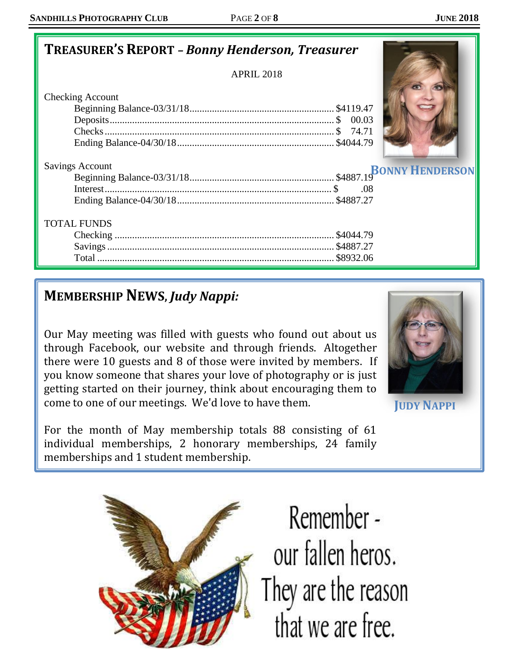# **TREASURER'S REPORT** *– Bonny Henderson, Treasurer*

APRIL 2018

Checking Account

| <b>Savings Account</b> |  |
|------------------------|--|
|                        |  |
|                        |  |
|                        |  |

#### TOTAL FUNDS

# **MEMBERSHIP NEWS,** *Judy Nappi:*

Our May meeting was filled with guests who found out about us through Facebook, our website and through friends. Altogether there were 10 guests and 8 of those were invited by members. If you know someone that shares your love of photography or is just getting started on their journey, think about encouraging them to come to one of our meetings. We'd love to have them.



**JUDY NAPPI**

For the month of May membership totals 88 consisting of 61 individual memberships, 2 honorary memberships, 24 family memberships and 1 student membership.



Remember our fallen heros. They are the reason that we are free.

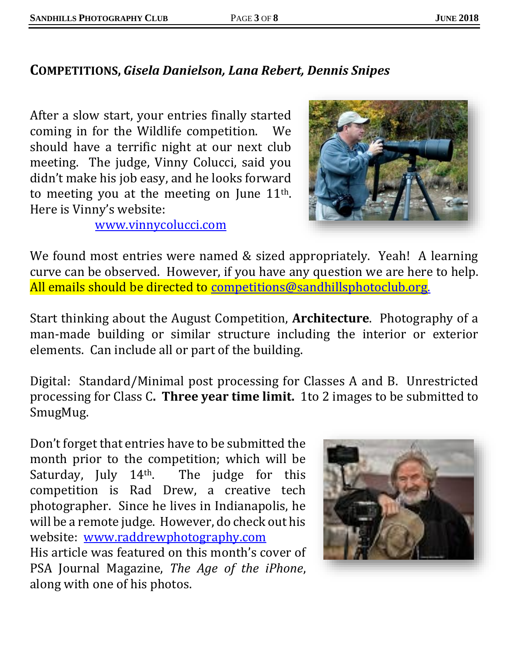## **COMPETITIONS,** *Gisela Danielson, Lana Rebert, Dennis Snipes*

After a slow start, your entries finally started coming in for the Wildlife competition. We should have a terrific night at our next club meeting. The judge, Vinny Colucci, said you didn't make his job easy, and he looks forward to meeting you at the meeting on June  $11<sup>th</sup>$ . Here is Vinny's website:



[www.vinnycolucci.com](http://www.vinnycolucci.com/)

We found most entries were named & sized appropriately. Yeah! A learning curve can be observed. However, if you have any question we are here to help. All emails should be directed to [competitions@sandhillsphotoclub.org.](mailto:competitions@sandhillsphotoclub.org)

Start thinking about the August Competition, **Architecture**. Photography of a man-made building or similar structure including the interior or exterior elements. Can include all or part of the building.

Digital: Standard/Minimal post processing for Classes A and B. Unrestricted processing for Class C**. Three year time limit.** 1to 2 images to be submitted to SmugMug.

Don't forget that entries have to be submitted the month prior to the competition; which will be Saturday, July 14<sup>th</sup>. The judge for this competition is Rad Drew, a creative tech photographer. Since he lives in Indianapolis, he will be a remote judge. However, do check out his website: [www.raddrewphotography.com](http://www.raddrewphotography.com/)  His article was featured on this month's cover of PSA Journal Magazine, *The Age of the iPhone*, along with one of his photos.

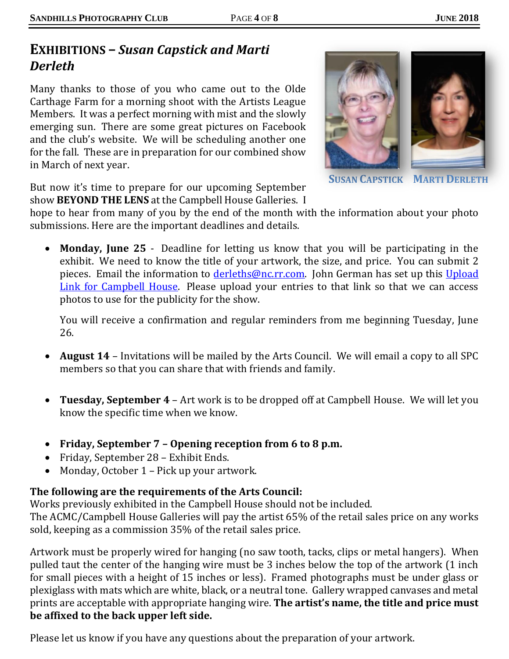## **EXHIBITIONS –** *Susan Capstick and Marti Derleth*

Many thanks to those of you who came out to the Olde Carthage Farm for a morning shoot with the Artists League Members. It was a perfect morning with mist and the slowly emerging sun. There are some great pictures on Facebook and the club's website. We will be scheduling another one for the fall. These are in preparation for our combined show in March of next year.



**SUSAN CAPSTICK MARTI DERLETH**

But now it's time to prepare for our upcoming September show **BEYOND THE LENS** at the Campbell House Galleries. I

hope to hear from many of you by the end of the month with the information about your photo submissions. Here are the important deadlines and details.

• **Monday, June 25** - Deadline for letting us know that you will be participating in the exhibit. We need to know the title of your artwork, the size, and price. You can submit 2 pieces. Email the information to *derleths@nc.rr.com*. John German has set up this Upload [Link for Campbell House.](https://sandhillsphotoclub.smugmug.com/upload/9t7bBt/2018campbellhouseexhibition) Please upload your entries to that link so that we can access photos to use for the publicity for the show.

You will receive a confirmation and regular reminders from me beginning Tuesday, June 26.

- **August 14** Invitations will be mailed by the Arts Council. We will email a copy to all SPC members so that you can share that with friends and family.
- **Tuesday, September 4** Art work is to be dropped off at Campbell House. We will let you know the specific time when we know.
- **Friday, September 7 – Opening reception from 6 to 8 p.m.**
- Friday, September 28 Exhibit Ends.
- Monday, October 1 Pick up your artwork.

#### **The following are the requirements of the Arts Council:**

Works previously exhibited in the Campbell House should not be included.

The ACMC/Campbell House Galleries will pay the artist 65% of the retail sales price on any works sold, keeping as a commission 35% of the retail sales price.

Artwork must be properly wired for hanging (no saw tooth, tacks, clips or metal hangers). When pulled taut the center of the hanging wire must be 3 inches below the top of the artwork (1 inch for small pieces with a height of 15 inches or less). Framed photographs must be under glass or plexiglass with mats which are white, black, or a neutral tone. Gallery wrapped canvases and metal prints are acceptable with appropriate hanging wire. **The artist's name, the title and price must be affixed to the back upper left side.**

Please let us know if you have any questions about the preparation of your artwork.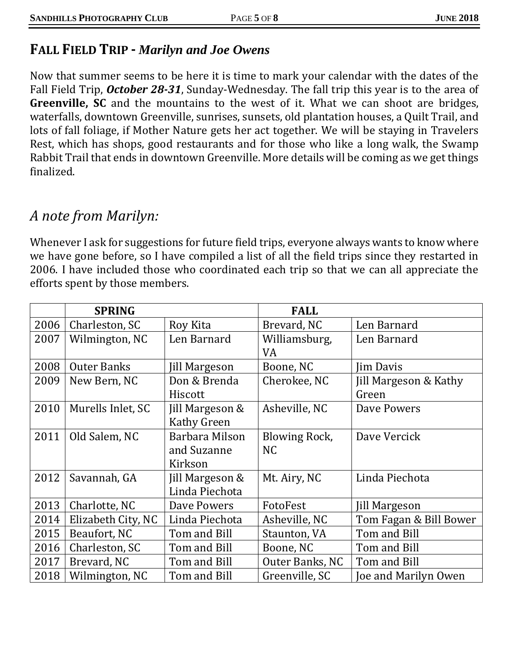## **FALL FIELD TRIP -** *Marilyn and Joe Owens*

Now that summer seems to be here it is time to mark your calendar with the dates of the Fall Field Trip, *October 28-31*, Sunday-Wednesday. The fall trip this year is to the area of **Greenville, SC** and the mountains to the west of it. What we can shoot are bridges, waterfalls, downtown Greenville, sunrises, sunsets, old plantation houses, a Quilt Trail, and lots of fall foliage, if Mother Nature gets her act together. We will be staying in Travelers Rest, which has shops, good restaurants and for those who like a long walk, the Swamp Rabbit Trail that ends in downtown Greenville. More details will be coming as we get things finalized.

## *A note from Marilyn:*

Whenever I ask for suggestions for future field trips, everyone always wants to know where we have gone before, so I have compiled a list of all the field trips since they restarted in 2006. I have included those who coordinated each trip so that we can all appreciate the efforts spent by those members.

|      | <b>SPRING</b>      |                      | <b>FALL</b>          |                        |
|------|--------------------|----------------------|----------------------|------------------------|
| 2006 | Charleston, SC     | Roy Kita             | Brevard, NC          | Len Barnard            |
| 2007 | Wilmington, NC     | Len Barnard          | Williamsburg,        | Len Barnard            |
|      |                    |                      | VA                   |                        |
| 2008 | <b>Outer Banks</b> | <b>Jill Margeson</b> | Boone, NC            | <b>Jim Davis</b>       |
| 2009 | New Bern, NC       | Don & Brenda         | Cherokee, NC         | Jill Margeson & Kathy  |
|      |                    | Hiscott              |                      | Green                  |
| 2010 | Murells Inlet, SC  | Jill Margeson &      | Asheville, NC        | Dave Powers            |
|      |                    | <b>Kathy Green</b>   |                      |                        |
| 2011 | Old Salem, NC      | Barbara Milson       | <b>Blowing Rock,</b> | Dave Vercick           |
|      |                    | and Suzanne          | N <sub>C</sub>       |                        |
|      |                    | Kirkson              |                      |                        |
| 2012 | Savannah, GA       | Jill Margeson &      | Mt. Airy, NC         | Linda Piechota         |
|      |                    | Linda Piechota       |                      |                        |
| 2013 | Charlotte, NC      | Dave Powers          | FotoFest             | <b>Jill Margeson</b>   |
| 2014 | Elizabeth City, NC | Linda Piechota       | Asheville, NC        | Tom Fagan & Bill Bower |
| 2015 | Beaufort, NC       | Tom and Bill         | Staunton, VA         | Tom and Bill           |
| 2016 | Charleston, SC     | Tom and Bill         | Boone, NC            | Tom and Bill           |
| 2017 | Brevard, NC        | Tom and Bill         | Outer Banks, NC      | Tom and Bill           |
| 2018 | Wilmington, NC     | Tom and Bill         | Greenville, SC       | Joe and Marilyn Owen   |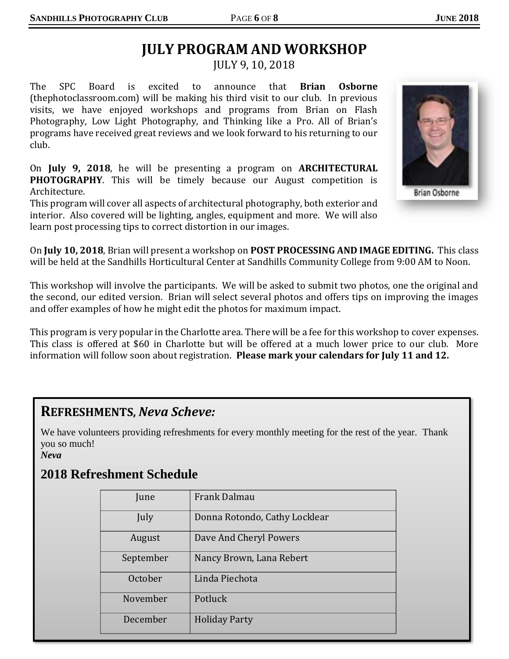# **JULY PROGRAM AND WORKSHOP**

JULY 9, 10, 2018

The SPC Board is excited to announce that **Brian Osborne** (thephotoclassroom.com) will be making his third visit to our club. In previous visits, we have enjoyed workshops and programs from Brian on Flash Photography, Low Light Photography, and Thinking like a Pro. All of Brian's programs have received great reviews and we look forward to his returning to our club.

On **July 9, 2018**, he will be presenting a program on **ARCHITECTURAL PHOTOGRAPHY**. This will be timely because our August competition is Architecture.

This program will cover all aspects of architectural photography, both exterior and interior. Also covered will be lighting, angles, equipment and more. We will also learn post processing tips to correct distortion in our images.



On **July 10, 2018**, Brian will present a workshop on **POST PROCESSING AND IMAGE EDITING.** This class will be held at the Sandhills Horticultural Center at Sandhills Community College from 9:00 AM to Noon.

This workshop will involve the participants. We will be asked to submit two photos, one the original and the second, our edited version. Brian will select several photos and offers tips on improving the images and offer examples of how he might edit the photos for maximum impact.

This program is very popular in the Charlotte area. There will be a fee for this workshop to cover expenses. This class is offered at \$60 in Charlotte but will be offered at a much lower price to our club. More information will follow soon about registration. **Please mark your calendars for July 11 and 12.**

#### **REFRESHMENTS,** *Neva Scheve:*

We have volunteers providing refreshments for every monthly meeting for the rest of the year. Thank you so much!

#### *Neva*

#### **2018 Refreshment Schedule**

| June      | Frank Dalmau                  |  |
|-----------|-------------------------------|--|
| July      | Donna Rotondo, Cathy Locklear |  |
| August    | Dave And Cheryl Powers        |  |
| September | Nancy Brown, Lana Rebert      |  |
| October   | Linda Piechota                |  |
| November  | Potluck                       |  |
| December  | <b>Holiday Party</b>          |  |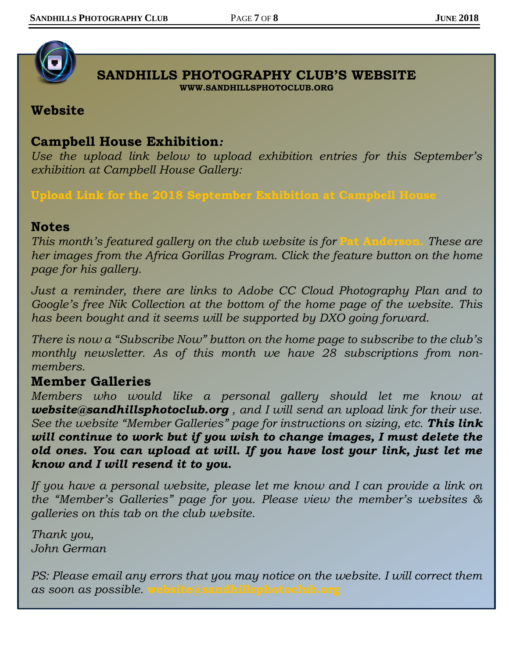

#### **SANDHILLS PHOTOGRAPHY CLUB'S WEBSITE WWW.SANDHILLSPHOTOCLUB.ORG**

#### **Website**

#### **Campbell House Exhibition***:*

*Use the upload link below to upload exhibition entries for this September's exhibition at Campbell House Gallery:*

**[Upload Link for the 2018 September Exhibition at Campbell House](https://sandhillsphotoclub.smugmug.com/upload/9t7bBt/2018campbellhouseexhibition)**

#### **Notes**

*This month's featured gallery on the club website is for* **[Pat Anderson.](https://sandhillsphotoclub.smugmug.com/Member-Galleries/Pat-Anderson/Photography-by-Pat-Anderson)** *These are her images from the Africa Gorillas Program. Click the feature button on the home page for his gallery.*

*Just a reminder, there are links to Adobe CC Cloud Photography Plan and to Google's free Nik Collection at the bottom of the home page of the website. This has been bought and it seems will be supported by DXO going forward.* 

*There is now a "Subscribe Now" button on the home page to subscribe to the club's monthly newsletter. As of this month we have 28 subscriptions from nonmembers.*

## **Member Galleries**

*Members who would like a personal gallery should let me know at [website@sandhillsphotoclub.org](mailto:website@sandhillsphotoclub.org) , and I will send an upload link for their use. See the website "Member Galleries" page for instructions on sizing, etc. This link will continue to work but if you wish to change images, I must delete the old ones. You can upload at will. If you have lost your link, just let me know and I will resend it to you.*

*If you have a personal website, please let me know and I can provide a link on the "Member's Galleries" page for you. Please view the member's websites & galleries on this tab on the club website.*

*Thank you, John German*

*PS: Please email any errors that you may notice on the website. I will correct them as soon as possible.* **[website@sandhillsphotoclub.org](mailto:website@sandhillsphotoclub.org)**